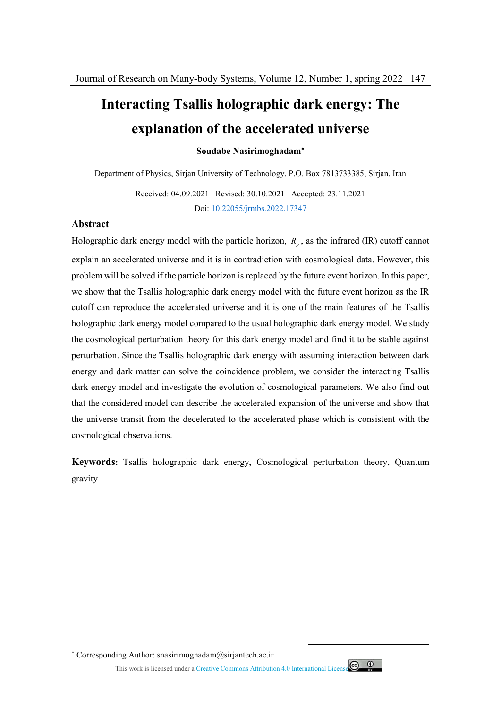# **Interacting Tsallis holographic dark energy: The explanation of the accelerated universe**

**Soudabe Nasirimoghadam**

Department of Physics, Sirjan University of Technology, P.O. Box 7813733385, Sirjan, Iran

Received: 04.09.2021 Revised: 30.10.2021 Accepted: 23.11.2021 Doi: 10.22055/jrmbs.2022.17347

#### **Abstract**

Holographic dark energy model with the particle horizon,  $R_p$ , as the infrared (IR) cutoff cannot explain an accelerated universe and it is in contradiction with cosmological data. However, this problem will be solved if the particle horizon is replaced by the future event horizon. In this paper, we show that the Tsallis holographic dark energy model with the future event horizon as the IR cutoff can reproduce the accelerated universe and it is one of the main features of the Tsallis holographic dark energy model compared to the usual holographic dark energy model. We study the cosmological perturbation theory for this dark energy model and find it to be stable against perturbation. Since the Tsallis holographic dark energy with assuming interaction between dark energy and dark matter can solve the coincidence problem, we consider the interacting Tsallis dark energy model and investigate the evolution of cosmological parameters. We also find out that the considered model can describe the accelerated expansion of the universe and show that the universe transit from the decelerated to the accelerated phase which is consistent with the cosmological observations.

**Keywords:** Tsallis holographic dark energy, Cosmological perturbation theory, Quantum gravity

Corresponding Author: snasirimoghadam@sirjantech.ac.ir

This work is licensed under a Creative Commons Attribution 4.0 International License



 $\overline{a}$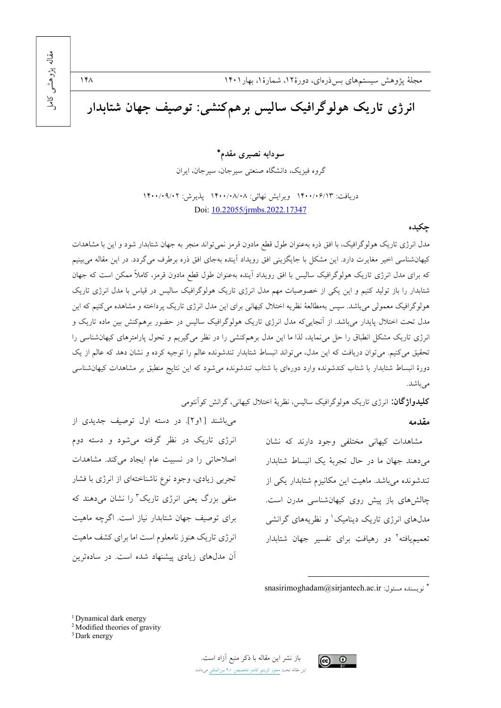

سودابه نصيرى مقدم\*

گروه فيزيک، دانشگاه صنعتي سيرجان، سيرجان، ايران

دريافت: ١۴٠٠/٠۶/١٣ ويرايش نهائي: ١۴٠٠/٠٨/٠٨ پذيرش: ١۴٠٠/٠٩/٠٢ Doi: 10.22055/jrmbs.2022.17347

### چکیده

مدل انرژی تاریک هولوگرافیک، با افق ذره بهعنوان طول قطع مادون قرمز نمی تواند منجر به جهان شتابدار شود و این با مشاهدات کیهانشناسی اخیر مغایرت دارد. این مشکل با جایگزینی افق رویداد آینده بهجای افق ذره برطرف میگردد. در این مقاله میبینیم که برای مدل انرژی تاریک هولوگرافیک سالیس با افق رویداد آینده بهعنوان طول قطع مادون قرمز، کاملاً ممکن است که جهان شتابدار را باز تولید کنیم و این یکی از خصوصیات مهم مدل انرژی تاریک هولوگرافیک سالیس در قیاس با مدل انرژی تاریک هولوگرافیک معمولی میباشد. سپس بهمطالعهٔ نظریه اختلال کیهانی برای این مدل انرژی تاریک پرداخته و مشاهده میکنیم که این مدل تحت اختلال پایدار میباشد. از آنجاییکه مدل انرژی تاریک هولوگرافیک سالیس در حضور برهمکنش بین ماده تاریک و انرژی تاریک مشکل انطباق را حل می نماید، لذا ما این مدل برهمکنشی را در نظر می گیریم و تحول پارامترهای کیهانشناسی را تحقیق میکنیم. می توان دریافت که این مدل، می تواند انبساط شتابدار تندشونده عالم را توجیه کرده و نشان دهد که عالم از یک دورهٔ انبساط شتابدار با شتاب کندشونده وارد دورهای با شتاب تندشونده میشود که این نتایج منطبق بر مشاهدات کیهانشناسی مىباشد.

**کلیدواژ گان:** انرژی تاریک هولوگرافیک سالیس، نظریهٔ اختلال کیهانی، گرانش کو آنتومی

#### مقدمه

مشاهدات كيهاني مختلفى وجود دارند كه نشان میدهند جهان ما در حال تجربهٔ یک انبساط شتابدار تندشونده میباشد. ماهیت این مکانیزم شتابدار یکی از چالشهای باز پیش روی کیهانشناسی مدرن است. مدلهای انرژی تاریک دینامیک' و نظریههای گرانشی تعمیم یافته<sup>۲</sup> دو رهبافت برای تفسیر جهان شتابدار

اصلاحاتی را در نسبیت عام ایجاد میکند. مشاهدات تجربی زیادی، وجود نوع ناشناختهای از انرژی با فشار منفی بزرگ یعنی انرژی تاریک<sup>۳</sup> را نشان میدهند که برای توصیف جهان شتابدار نیاز است. اگرچه ماهیت انرژی تاریک هنوز نامعلوم است اما برای کشف ماهیت آن مدلهای زیادی پیشنهاد شده است. در سادهترین

می باشند [او۲]. در دسته اول توصیف جدیدی از

انرژی تاریک در نظر گرفته می شود و دسته دوم



فريسنده مسئول: snasirimoghadam@sirjantech.ac.ir

<sup>&</sup>lt;sup>1</sup> Dynamical dark energy

<sup>&</sup>lt;sup>2</sup> Modified theories of gravity

<sup>&</sup>lt;sup>3</sup> Dark energy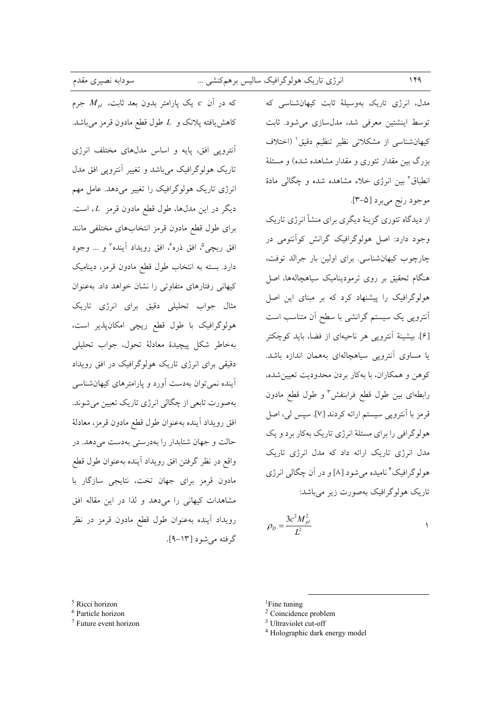که در آن c یک پارامتر بدون بعد ثابت،  $M_{pl}$  جرم كاهش يافته پلانك و L طول قطع مادون قرمز مى باشد.

آنترویی افق، پایه و اساس مدلهای مختلف انرژی تاریک هولوگرافیک میباشد و تغییر آنترویی افق مدل انرژی تاریک هولوگرافیک را تغییر می دهد. عامل مهم ديگر در اين مدلها، طول قطع مادون قرمز L، است. براى طول قطع مادون قرمز انتخابهاى مختلفى مانند افق ريچي<sup>0</sup>، افق ذره<sup>ع</sup>، افق رويداد آينده<sup>٧</sup> و ... وجود دارد. بسته به انتخاب طول قطع مادون قرمز، ديناميک کیهانی رفتارهای متفاوتی را نشان خواهد داد. به عنوان مثال جواب تحلیلی دقیق برای انرژی تاریک هولوگرافیک با طول قطع ریچی امکانپذیر است، بهخاطر شكل ييچيدهٔ معادلهٔ تحول، جواب تحليلي دقیقی برای انرژی تاریک هولوگرافیک در افق رویداد آینده نمی توان بهدست آورد و پارامتر های کیهان شناسی بهصورت تابعي از چگالي انرژي تاريک تعيين مي شوند. افق رويداد أينده بهعنوان طول قطع مادون قرمز، معادلة حالت و جهان شتابدار را بهدرستی بهدست می دهد. در واقع در نظر گرفتن افق رويداد آينده بهعنوان طول قطع مادون قرمز برای جهان تخت، نتایجی سازگار با مشاهدات کیهانی را میدهد و لذا در این مقاله افق رويداد آينده بهعنوان طول قطع مادون قرمز در نظر گرفته می شود [۱۳-۹].

مدل، انرژی تاریک بهوسیلهٔ ثابت کیهانشناسی که توسط اینشتین معرفی شد، مدلسازی می شود. ثابت كيهانشناسي از مشكلاتي نظير تنظيم دقيق (اختلاف بزرگ بین مقدار تئوری و مقدار مشاهده شده) و مسئلهٔ انطباق٬ بین انرژی خلاء مشاهده شده و چگالی مادهٔ موجود رنج مي برد [۵-۳].

از دیدگاه تئوری گزینهٔ دیگری برای منشأ انرژی تاریک وجود دارد: اصل هولوگرافیک گرانش کوآنتومی در چارچوب کیهانشناسی. برای اولین بار جرالد توفت، هنگام تحقیق بر روی ترمودینامیک سیاهچالهها، اصل هولوگرافیک را پیشنهاد کرد که بر مبنای این اصل آنترویی یک سیستم گرانشی با سطح آن متناسب است [۶]. بیشینهٔ آنتروپی هر ناحیهای از فضا، باید کوچکتر یا مساوی آنترویی سیاهچالهای بههمان اندازه باشد. کوهن و همکاران، با بهکار بردن محدودیت تعیینشده، رابطهای بین طول قطع فرابنفش ؓ و طول قطع مادون قرمز با آنترويي سيستم ارائه كردند [٧]. سپس لي، اصل هولوگرافی را برای مسئلهٔ انرژی تاریک بهکار برد و یک مدل انرژی تاریک ارائه داد که مدل انرژی تاریک هولوگرافیک ٔ نامیده میشود [۸] و در آن چگالی انرژی تاریک هولوگرافیک بهصورت زیر میباشد:

$$
\rho_D = \frac{3c^2 M_{pl}^2}{L^2}
$$

 $5$  Ricci horizon

<sup>&</sup>lt;sup>6</sup> Particle horizon

<sup>&</sup>lt;sup>7</sup> Future event horizon

 ${}^{1}$ Fine tuning

<sup>&</sup>lt;sup>2</sup> Coincidence problem

<sup>&</sup>lt;sup>3</sup> Ultraviolet cut-off

<sup>&</sup>lt;sup>4</sup> Holographic dark energy model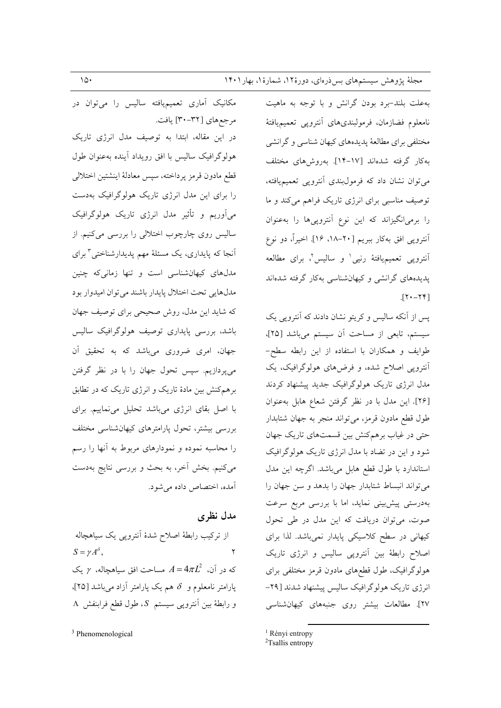به علت بلند-برد بودن گرانش و با توجه به ماهیت نامعلوم فضازمان، فرمولبندىهاى أنتروبي تعميميافتهٔ مختلفي براي مطالعهٔ پديدههاي كيهان شناسي و گرانشي به كار گرفته شدهاند [١٧-١۴]. بهروش هاى مختلف می توان نشان داد که فرمولبندی آنترویی تعمیمیافته، توصیف مناسبی برای انرژی تاریک فراهم میکند و ما را برمیانگیزاند که این نوع آنتروپیها را بهعنوان أنترويي افق بهكار ببريم [٢٠-١٨، ١۶]. اخيراً، دو نوع أنترويي تعميميافتهٔ رنيي<sup>\</sup> و ساليس<sup>٬</sup>، براي مطالعه یدیدههای گرانشی و کیهانشناسی بهکار گرفته شدهاند  $[Y - Y]$ .

یس از آنکه سالیس و کریتو نشان دادند که آنترویی یک سیستم، تابعی از مساحت آن سیستم میباشد [۲۵]، طوايف و همكاران با استفاده از اين رابطه سطح-آنترویی اصلاح شده، و فرضهای هولوگرافیک، یک مدل انرژی تاریک هولوگرافیک جدید پیشنهاد کردند [۲۶]. این مدل با در نظر گرفتن شعاع هابل بهعنوان طول قطع مادون قرمز، می تواند منجر به جهان شتابدار حتی در غیاب برهمکنش بین قسمتهای تاریک جهان شود و این در تضاد با مدل انرژی تاریک هولوگرافیک استاندارد با طول قطع هابل میباشد. اگرچه این مدل می تواند انبساط شتابدار جهان را بدهد و سن جهان را بهدرستی پیش بینی نماید، اما با بررسی مربع سرعت صوت، می توان دریافت که این مدل در طی تحول کیهانی در سطح کلاسیکی پایدار نمیباشد. لذا برای اصلاح رابطهٔ بین آنتروپی سالیس و انرژی تاریک هولوگرافیک، طول قطعهای مادون قرمز مختلفی برای انرژی تاریک هولوگرافیک سالیس پیشنهاد شدند [۲۹-٢٧]. مطالعات بیشتر روی جنبههای کیهانشناسی

<sup>1</sup> Rényi entropy

مکانیک آماری تعمیمپافته سالیس را میتوان در مرجعهاي [٣٢-٣٠] يافت. در این مقاله، ابتدا به توصیف مدل انرژی تاریک هولوگرافیک سالیس با افق رویداد آینده بهعنوان طول قطع مادون قرمز يرداخته، سيس معادلة اينشتين اختلالي را برای این مدل انرژی تاریک هولوگرافیک بهدست می آوریم و تأثیر مدل انرژی تاریک هولوگرافیک سالیس روی چارچوب اختلالی را بررسی میکنیم. از آنجا که پایداری، یک مسئلهٔ مهم پدیدارشناختی<sup>۳</sup> برای مدلهای کیهانشناسی است و تنها زمانیکه چنین مدلهايي تحت اختلال يايدار باشند مي توان اميدوار بود که شاید این مدل، روش صحیحی برای توصیف جهان باشد، بررسی پایداری توصیف هولوگرافیک سالیس جهان، امری ضروری میباشد که به تحقیق آن میپردازیم. سپس تحول جهان را با در نظر گرفتن برهمکنش بین مادهٔ تاریک و انرژی تاریک که در تطابق با اصل بقای انرژی میباشد تحلیل می نماییم. برای بررسی بیشتر، تحول پارامترهای کیهانشناسی مختلف را محاسبه نموده و نمودارهای مربوط به آنها را رسم میکنیم. بخش آخر، به بحث و بررسی نتایج بهدست آمده، اختصاص داده می شود.

### مدل نظری

از ترکیب رابطهٔ اصلاح شدهٔ آنتروپی یک سیاهچاله  $S = \gamma A^{\delta}$ ,  $\mathbf{r}$ که در آن،  $A = 4\pi L^2$  مساحت افق سیاهچاله،  $\gamma$  یک پارامتر نامعلوم و  $\delta$  هم یک پارامتر آزاد میباشد [۲۵]،  $\Lambda$  و رابطهٔ بین آنتروپی سیستم  $S$ ، طول قطع فرابنفش  $\Lambda$ 

<sup>&</sup>lt;sup>2</sup>Tsallis entropy

<sup>&</sup>lt;sup>3</sup> Phenomenological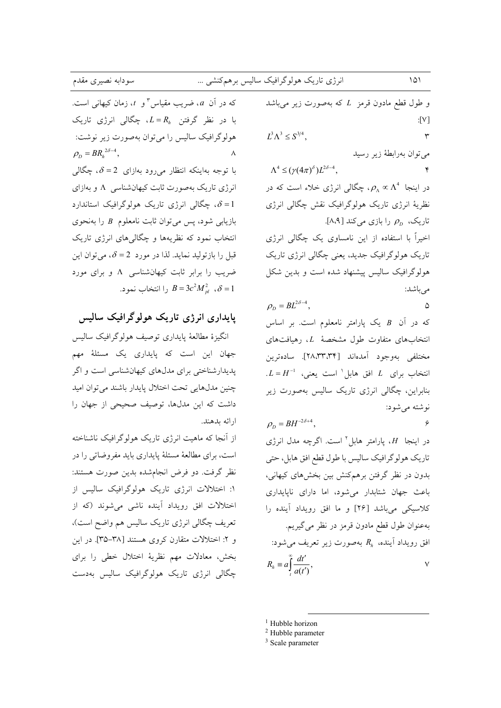| سودابه نصیری مقدم                                                                                            |              | انرژی تاریک هولوگرافیک سالیس برهمکنشی …                                  | $101$                    |
|--------------------------------------------------------------------------------------------------------------|--------------|--------------------------------------------------------------------------|--------------------------|
| که در آن $a$ ، ضریب مقیاس ؓ و $t$ ، زمان کیهانی است.                                                         |              | و طول قطع مادون قرمز $L$ که بهصورت زیر میباشد                            |                          |
| با در نظر گرفتن $R_h$ چگالی انرژی تاریک                                                                      |              |                                                                          | :[V]                     |
| هولوگرافیک سالیس را میتوان بهصورت زیر نوشت:                                                                  |              | $L^3 \Lambda^3 \leq S^{3/4}$ , $\Upsilon$                                |                          |
| $\rho_{\scriptscriptstyle D} = BR_{\scriptscriptstyle h}^{\,\,2\delta-4}\,, \hspace{2cm} \land \hspace{2cm}$ |              |                                                                          | مىتوان بەرابطهٔ زير رسيد |
| با توجه بهاینکه انتظار میرود بهازای $\delta = 2$ ، چگالی                                                     |              | $\Lambda^4 \le (\gamma (4\pi)^{\delta}) L^{2\delta - 4},$                |                          |
| انرژی تاریک بهصورت ثابت کیهانشناسی  ۸ و بهازای                                                               |              | در اینجا $\rho_{\Lambda} \propto \Lambda^4$ ، چگالی انرژی خلاء است که در |                          |
| ، چگالی انرژی تاریک هولوگرافیک استاندارد $\delta$ = 1                                                        |              | نظریهٔ انرژی تاریک هولوگرافیک نقش چگالی انرژی                            |                          |
| بازیابی شود، پس میتوان ثابت نامعلوم $B$ را بهنحوی                                                            |              | تاریک، $\rho_{_D}$ را بازی میکند [۸،۹].                                  |                          |
| انتخاب نمود که نظریهها و چگالی۵ای انرژی تاریک                                                                |              | اخیراً با استفاده از این نامساوی یک چگالی انرژی                          |                          |
| قبل را بازتولید نماید. لذا در مورد $\delta=2$ ، میتوان این                                                   |              | تاریک ہولوگرافیک جدید، یعنی چگالی انرژی تاریک                            |                          |
| ضریب را برابر ثابت کیهانشناسی A و برای مورد                                                                  |              | هولوگرافیک سالیس پیشنهاد شده است و بدین شکل                              |                          |
| را انتخاب نمود. $B=3c^2{M}_{pl}^2$ ، $\delta=1$                                                              |              | $\rho_{\scriptscriptstyle D} = BL^{2\delta-4}\,,$ $\hfill\Box$           |                          |
|                                                                                                              |              |                                                                          |                          |
| پایداری انرژی تاریک هولوگرافیک سالیس                                                                         |              | که در آن B یک پارامتر نامعلوم است. بر اساس                               |                          |
| انگیزهٔ مطالعهٔ پایداری توصیف هولوگرافیک سالیس                                                               |              | انتخابهای متفاوت طول مشخصهٔ $L$ ، رهیافتهای                              |                          |
| جهان این است که پایداری یک مسئلهٔ مهم                                                                        |              | مختلفی بهوجود آمدهاند [۲۸٬۳۳٬۳۴]. سادهترین                               |                          |
| پدیدارشناختی برای مدلهای کیهانشناسی است و اگر                                                                |              | $L = H^{-1}$ انتخاب برای $L$ افق هابل $\langle L - L  $ ا                |                          |
| چنین مدلهایی تحت اختلال پایدار باشند میتوان امید                                                             |              | بنابراین، چگالی انرژی تاریک سالیس بهصورت زیر                             |                          |
| داشت که این مدلها، توصیف صحیحی از جهان را                                                                    |              | i نوشته میشود: $\rho_{\scriptscriptstyle D}=BH^{-2\delta+4},$            |                          |
|                                                                                                              | ارائه بدهند. |                                                                          |                          |
| از آنجا که ماهیت انرژی تاریک هولوگرافیک ناشناخته                                                             |              | در اینجا $H$ ، پارامتر هابل $^{\prime}$ است. اگرچه مدل انرژی             |                          |
| است، برای مطالعهٔ مسئلهٔ پایداری باید مفروضاتی را در                                                         |              | تاریک هولوگرافیک سالیس با طول قطع افق هابل، حتى                          |                          |
| نظر گرفت. دو فرض انجام٬شده بدین صورت هستند:                                                                  |              | بدون در نظر گرفتن برهمكنش بين بخشهاى كيهانى،                             |                          |
| ۱: اختلالات انرژی تاریک هولوگرافیک سالیس از                                                                  |              | باعث جهان شتابدار می شود، اما دارای ناپایداری                            |                          |
| اختلالات افق رویداد آینده ناشی میشوند (که از                                                                 |              | کلاسیکی میباشد [۲۶] و ما افق رویداد آینده را                             |                          |
| تعریف چگالی انرژی تاریک سالیس هم واضح است)،                                                                  |              | بهعنوان طول قطع مادون قرمز در نظر میگیریم.                               |                          |
| و ۲: اختلالات متقارن کروی هستند [۳۸-۳۵]. در این                                                              |              | افق رويداد أينده، $R_h$ بهصورت زير تعريف ميشود:                          |                          |
| بخش، معادلات مهم نظريهٔ اختلال خطى را براى                                                                   |              | $R_h \equiv a \int\limits_t^\infty \frac{dt'}{a(t')},$                   | $\sf V$                  |
| چگالی انرژی تاریک هولوگرافیک سالیس بهدست                                                                     |              |                                                                          |                          |
|                                                                                                              |              |                                                                          |                          |
|                                                                                                              |              |                                                                          |                          |

<sup>&</sup>lt;sup>1</sup> Hubble horizon<br><sup>2</sup> Hubble parameter<br><sup>3</sup> Scale parameter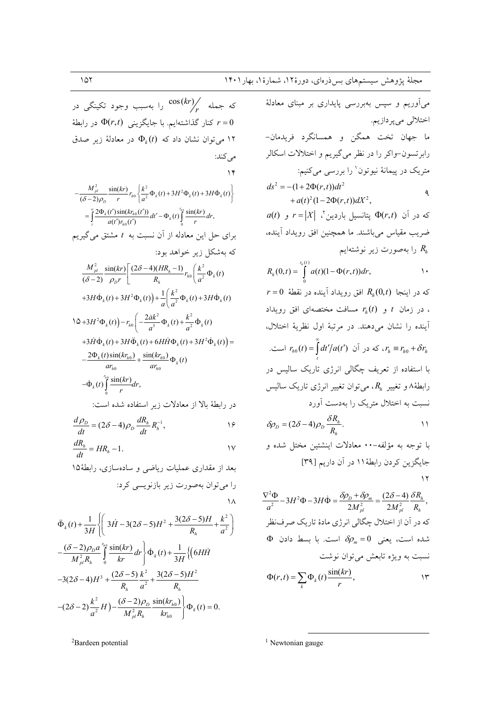که جمله  $\binom{\cos(kr)}{r}$ را بهسبب وجود تکینگی در کنار گذاشتهایم. با جایگزینی  $\Phi(r,t)$  در رابطهٔ  $r=0$ ا می توان نشان داد که  $\Phi_k(t)$  در معادلهٔ زیر صدق می کند:  $\gamma$  $-\frac{M_{pl}^{2}}{(\delta-2)Q_{0}}\frac{\sin(kr)}{r}r_{h0}\left\{\frac{k^{2}}{a^{2}}\Phi_{k}(t)+3H^{2}\Phi_{k}(t)+3H\dot{\Phi}_{k}(t)\right\}$  $= \int_{0}^{\infty} \frac{2\Phi_{k}(t')\sin(kr_{h0}(t'))}{a(t')r_{h0}(t')}dt' - \Phi_{k}(t)\int_{0}^{r_{h0}} \frac{\sin(kr)}{r}dr,$ برای حل این معادله از آن نسبت به t مشتق می گیریم که بهشکل زیر خواهد بود:  $\frac{M_{pl}^2}{(\delta-2)}\frac{\sin(kr)}{\rho_b r}\left[\frac{(2\delta-4)(HR_h-1)}{R_h}r_{h0}\left(\frac{k^2}{a^2}\Phi_k(t)\right)\right]$ +3H $\dot{\Phi}_k(t)$  + 3H<sup>2</sup> $\Phi_k(t)$  +  $\frac{1}{q} \left( \frac{k^2}{a^2} \Phi_k(t)$  + 3H $\dot{\Phi}_k(t)$  $\sqrt{(\Delta + 3H^2 \Phi_k(t))} - r_{h0} \left( -\frac{2ak^2}{a^3} \Phi_k(t) + \frac{k^2}{a^2} \Phi_k(t) \right)$ +3 $H\ddot{\Phi}_k(t)$  + 3 $H\ddot{\Phi}_k(t)$  + 6 $H\dot{H}\Phi_k(t)$  + 3 $H^2\dot{\Phi}_k(t)$  =  $-\frac{2\Phi_k(t)\sin(kr_{h0})}{ar_{h0}}+\frac{\sin(kr_{h0})}{ar_{h0}}\Phi_k(t)$  $-\dot{\Phi}_k(t)\int\limits^{r_{h0}}\frac{\sin(kr)}{r}dr,$ در رابطهٔ بالا از معادلات زیر استفاده شده است:  $\overline{d}$ 

$$
\frac{dP_D}{dt} = (2\delta - 4)\rho_D \frac{dR_h}{dt} R_h^{-1},
$$

$$
\frac{dR_h}{dt} = HR_h - 1.
$$

بعد از مقداری عملیات ریاضی و سادهسازی، رابطهٔ۱۵ را می توان بهصورت زیر بازنویسی کرد:

$$
\ddot{\Phi}_{k}(t) + \frac{1}{3H} \left\{ \left( 3\dot{H} - 3(2\delta - 5)H^{2} + \frac{3(2\delta - 5)H}{R_{h}} + \frac{k^{2}}{a^{2}} \right) \right\}
$$

$$
-\frac{(\delta - 2)\rho_{D}a}{M_{pl}^{2}R_{h}} \int_{0}^{\hbar_{0}} \frac{\sin(kr)}{kr} dr \right\} \dot{\Phi}_{k}(t) + \frac{1}{3H} \left\{ \left( 6H\dot{H} - 3(2\delta - 4)H^{3} + \frac{(2\delta - 5)k^{2}}{R_{h}} + \frac{3(2\delta - 5)H^{2}}{R_{h}} \right\}
$$

$$
-(2\delta - 2)\frac{k^{2}}{a^{2}}H) - \frac{(\delta - 2)\rho_{D}}{M_{pl}^{2}R_{h}} \frac{\sin(kr_{h0})}{kr_{h0}} \right\} \Phi_{k}(t) = 0.
$$

<sup>2</sup>Bardeen potential

میآوریم و سپس بهبررسی پایداری بر مبنای معادلهٔ اختلالي ميپردازيم. ما جهان تخت همگن و همسانگرد فریدمان-رابرتسون–واکر را در نظر میگیریم و اختلالات اسکالر متریک در پیمانهٔ نیوتون<sup>۱</sup> را بررس<sub>ی</sub> میکنیم:  $ds^{2} = -(1+2\Phi(r,t))dt^{2}$  $\triangleleft$  $+a(t)^{2}(1-2\Phi(r,t))dX^{2}$ ,  $a(t)$  که در آن  $\Phi(r,t)$  پتانسیل باردین  $X \mid X = |X|$  و ضريب مقياس مي باشند. ما همچنين افق رويداد آينده، را بهصورت زیر نوشتهایم  $R_{h}$  $R_h(0,t) = \int_0^{\frac{r_h(t)}{2}} a(t)(1-\Phi(r,t))dr,$  $\backslash$  .  $r = 0$  كه در اينجا  $R_h(0,t)$  افق رويداد آينده در نقطهٔ ، در زمان t و  $r_h(t)$  مسافت مختصهای افق رویداد اً ينده را نشان مي دهند. در مرتبهٔ اول نظريهٔ اختلال، که در آن  $r_{h0}(t) = \int_0^\infty dt'/a(t')$  است.  $r_h \equiv r_{h0} + \delta r_h$ با استفاده از تعریف چگال<sub>ی</sub> انرژی تاریک سالیس در رابطهٔ۸ و تغییر  $R_h$ ، میتوان تغییر انرژی تاریک سالیس نسبت به اختلال متریک را بهدست آورد

$$
\delta \rho_D = (2\delta - 4)\rho_D \frac{\delta R_h}{R_h}.
$$

با توجه به مؤلفه-۰۰ معادلات اینشتین مختل شده و جایگزین کردن رابطهٔ ۱۱ در آن داریم [۳۹]  $\gamma$ 

$$
\frac{\nabla^2 \Phi}{a^2} - 3H^2 \Phi - 3H \dot{\Phi} = \frac{\delta \rho_D + \delta \rho_m}{2M_{pl}^2} = \frac{(2\delta - 4)}{2M_{pl}^2} \frac{\delta R_h}{R_h},
$$
  
\n
$$
\Delta \Phi = \frac{\partial \rho_D + \delta \rho_m}{\partial \rho_M} = \frac{(2\delta - 4)}{2M_{pl}^2} \frac{\delta R_h}{R_h},
$$
  
\n
$$
\Delta \Phi = \frac{\delta \rho_m}{\partial \rho_m} = 0
$$
  
\n
$$
\Delta \Phi = 0
$$
  
\n
$$
\Delta \Phi = 0
$$
  
\n
$$
\Delta \Phi = 0
$$
  
\n
$$
\Delta \Phi = 0
$$
  
\n
$$
\Delta \Phi = 0
$$
  
\n
$$
\Delta \Phi = 0
$$
  
\n
$$
\Delta \Phi = 0
$$
  
\n
$$
\Delta \Phi = 0
$$
  
\n
$$
\Delta \Phi = 0
$$
  
\n
$$
\Delta \Phi = 0
$$
  
\n
$$
\Delta \Phi = 0
$$
  
\n
$$
\Delta \Phi = 0
$$
  
\n
$$
\Delta \Phi = 0
$$
  
\n
$$
\Delta \Phi = 0
$$
  
\n
$$
\Delta \Phi = 0
$$
  
\n
$$
\Delta \Phi = 0
$$
  
\n
$$
\Delta \Phi = 0
$$
  
\n
$$
\Delta \Phi = 0
$$
  
\n
$$
\Delta \Phi = 0
$$
  
\n
$$
\Delta \Phi = 0
$$
  
\n
$$
\Delta \Phi = 0
$$
  
\n
$$
\Delta \Phi = 0
$$
  
\n
$$
\Delta \Phi = 0
$$
  
\n
$$
\Delta \Phi = 0
$$
  
\n
$$
\Delta \Phi = 0
$$
  
\n
$$
\Delta \Phi = 0
$$
  
\n
$$
\Delta \Phi = 0
$$
  
\n
$$
\Delta \Phi = 0
$$
  
\n
$$
\Delta \Phi = 0
$$
  
\n
$$
\Delta \Phi = 0
$$
  
\n
$$
\Delta \Phi = 0
$$
  
\n
$$
\Delta \Phi = 0
$$

 $1$  Newtonian gauge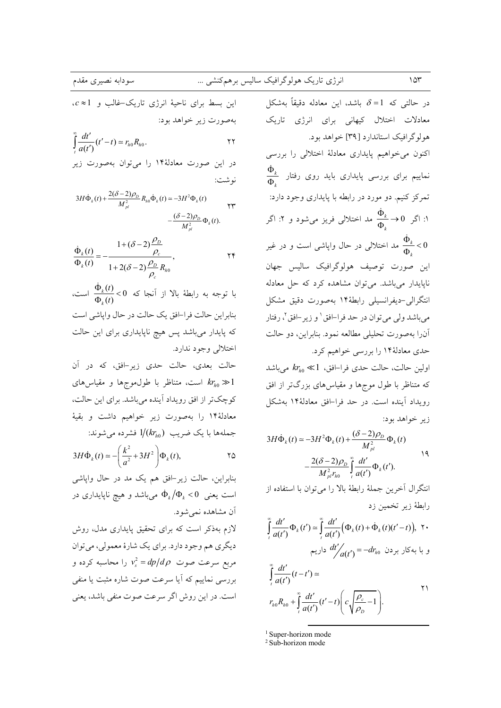$c \approx 1$  این بسط برای ناحیهٔ انرژی تاریک-غالب و بهصورت زير خواهد بود:  $\int_{-a(t')}^{\infty} \frac{dt'}{a(t')} (t'-t) \simeq r_{h0} R_{h0}.$  $\mathbf{y}$ در این صورت معادلهٔ۱۴ را میتوان بهصورت زیر نو شت:  $3H\dot{\Phi}_k(t) + \frac{2(\delta - 2)\rho_D}{M^2} R_{h0} \dot{\Phi}_k(t) \approx -3H^2 \Phi_k(t)$  $\forall \forall$  $-\frac{(\delta-2)\rho_D}{\rho} \Phi_{\mu}(t).$ 

$$
\frac{\dot{\Phi}_k(t)}{\Phi_k(t)} = -\frac{1 + (\delta - 2)\frac{\rho_D}{\rho_c}}{1 + 2(\delta - 2)\frac{\rho_D}{\rho_c}R_{h0}},
$$

با توجه به رابطهٔ بالا از آنجا که 0> $\frac{\dot{\Phi}_k(t)}{\Phi_0(t)}$  است، بنابراين حالت فرا-افق يک حالت در حال واپاشي است که پایدار میباشد پس هیچ ناپایداری برای این حالت اختلالي وجود ندارد.

حالت بعدي، حالت حدى زير-افق، كه در آن است، متناظر با طول،موجها و مقیاسهای  $k r_{h0} \gg 1$ کوچکتر از افق رویداد آینده میباشد. برای این حالت، معادلهٔ۱۴ را بهصورت زیر خواهیم داشت و بقیهٔ جملهها با یک ضریب  $1/(kr_{h0})$  فشرده می شوند:

$$
3H\dot{\Phi}_k(t) \simeq -\left(\frac{k^2}{a^2} + 3H^2\right)\Phi_k(t),
$$

بنابراین، حالت زیر-افق هم یک مد در حال واپاشی است یعنی  $\dot{\Phi}_k/\Phi_k < 0$  می باشد و هیچ ناپایداری در آن مشاهده نمه شود.

لازم بهذکر است که برای تحقیق پایداری مدل، روش ديگري هم وجود دارد. براي يک شارهٔ معمولي، مي توان  $v_s^2 = dp/d\rho$  مربع سرعت صوت  $v_s^2 = dp/d\rho$  را محاسبه کرده و بررسی نماییم که آیا سرعت صوت شاره مثبت یا منفی است. در این روش اگر سرعت صوت منفی باشد، یعنی

در حالتی که  $\delta=1$  باشد، این معادله دقیقاً بهشکل معادلات اختلال کیهانی برای انرژی تاریک هولوگرافیک استاندارد [۳۹] خواهد بود. اکنون می خواهیم پایداری معادلهٔ اختلالی را بررسی  $\frac{\Phi_k}{\Phi}$  نماییم برای بررسی پایداری باید روی رفتار .<br>تمرکز کنیم. دو مورد در رابطه با پایداری وجود دارد: ا: اگر  $\Phi_k \to 0$  مد اختلالی فریز میشود و ۲: اگر مد اختلالی در حال واپاشی است و در غیر  $\frac{\Phi_k}{\Phi}$ < 0 این صورت توصیف هولوگرافیک سالیس جهان نایایدار می باشد. می توان مشاهده کرد که حل معادله انتگرالی-دیفرانسیلی رابطهٔ۱۴ بهصورت دقیق مشکل مي باشد ولي مي توان در حد فرا–افق ' و زير –افق '، رفتار آنرا بهصورت تحليلي مطالعه نمود. بنابراين، دو حالت حدی معادلهٔ ۱۴ را بررسی خواهیم کرد.

اولين حالت، حالت حدي فرا–افق،  $k r_{b0} \ll 1$  مي باشد که متناظر با طول موجها و مقیاسهای بزرگتر از افق رویداد آینده است. در حد فرا–افق معادلهٔ۱۴ بهشکل زير خواهد بود:

$$
3H\dot{\Phi}_k(t) \approx -3H^2\Phi_k(t) + \frac{(\delta - 2)\rho_D}{M_{pl}^2}\Phi_k(t)
$$

$$
-\frac{2(\delta - 2)\rho_D}{M^2 r_{l0}}\int_{a(t)}^{a(t)}\Phi_k(t').
$$

انتگرال آخرین جملهٔ رابطهٔ بالا را می توان با استفاده از رابطهٔ زیر تخمین زد

$$
\int_{t}^{\infty} \frac{dt'}{a(t')} \Phi_{k}(t') \approx \int_{t}^{\infty} \frac{dt'}{a(t')} \Big( \Phi_{k}(t) + \dot{\Phi}_{k}(t)(t'-t) \Big), \quad \forall \cdot
$$
\n
$$
\Phi_{k}(t') = -dr_{h0} \quad \forall \cdot \theta \in \mathcal{A}
$$

$$
\int_{t}^{\infty} \frac{dt'}{a(t')} (t-t') \approx
$$
\n
$$
r_{h0}R_{h0} + \int_{t}^{\infty} \frac{dt'}{a(t')} (t'-t) \left(c \sqrt{\frac{\rho_c}{\rho_D}} - 1\right).
$$

<sup>1</sup> Super-horizon mode

 $2$  Sub-horizon mode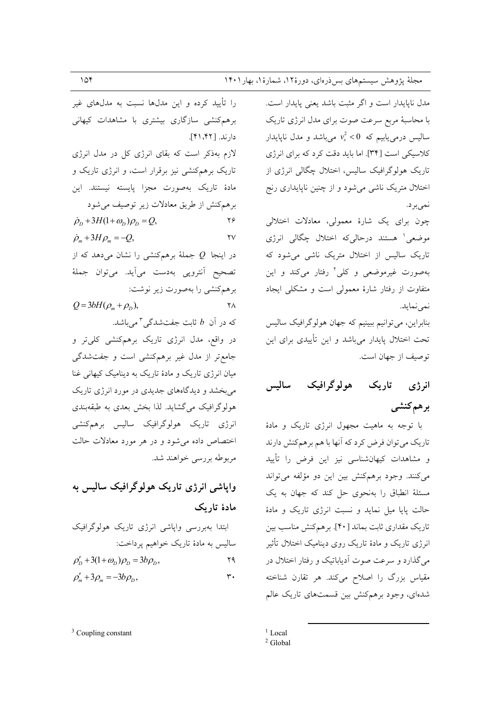مدل ناپایدار است و اگر مثبت باشد یعنی پایدار است. با محاسبهٔ مربع سرعت صوت برای مدل انرژی تاریک سالیس درمی یابیم که  $v_s^2 < 0$  میباشد و مدل ناپایدار کلاسیکی است [۳۴]. اما باید دقت کرد که برای انرژی تاریک هولوگرافیک سالیس، اختلال چگالی انرژی از اختلال متریک ناشی می شود و از چنین ناپایداری رنج نميبرد.

چون برای یک شارهٔ معمولی، معادلات اختلالی موضعی هستند درحالیکه اختلال چگالی انرژی تاریک سالیس از اختلال متریک ناشی می شود که بهصورت غیرموضعی و کلی ٔ رفتار میکند و این متفاوت از رفتار شارهٔ معمولی است و مشکلی ایجاد نمي نمايد.

بنابراین، میتوانیم ببینیم که جهان هولوگرافیک سالیس تحت اختلال پایدار میباشد و این تأییدی برای این توصيف از جهان است.

#### ساليس تاريک هولوگرافيک انرژی برهمكنشي

با توجه به ماهیت مجهول انرژی تاریک و مادهٔ تاریک می توان فرض کرد که آنها با هم برهمکنش دارند و مشاهدات کیهانشناسی نیز این فرض را تأیید می کنند. وجود برهمکنش بین این دو مؤلفه می تواند مسئلهٔ انطباق را بهنحوی حل کند که جهان به یک حالت یایا میل نماید و نسبت انرژی تاریک و مادهٔ تاریک مقداری ثابت بماند [۴۰]. برهمکنش مناسب بین انرژی تاریک و مادهٔ تاریک روی دینامیک اختلال تأثیر می گذارد و سرعت صوت آدیاباتیک و رفتار اختلال در مقیاس بزرگ را اصلاح میکند. هر تقارن شناخته شدهای، وجود برهمکنش بین قسمتهای تاریک عالم

 $1$  Local

را تأیید کرده و این مدلها نسبت به مدلهای غیر برهم کنشی سازگاری بیشتری با مشاهدات کیهانی دارند. [۲۲، ۴۱]. لازم بهذکر است که بقای انرژی کل در مدل انرژی تاریک برهمکنشی نیز برقرار است، و انرژی تاریک و مادهٔ تاریک بهصورت مجزا پایسته نیستند. این برهم كنش از طريق معادلات زير توصيف مى شود  $\dot{\rho}_D + 3H(1+\omega_D)\rho_D = Q,$  $\mathbf{y}$  $\dot{\rho}_m + 3H\rho_m = -Q,$  $\mathsf{Y}\mathsf{V}$ در اینجا Q جملهٔ برهمکنشی را نشان میدهد که از تصحيح أنترويي بهدست مي أيد. مي توان جملهٔ برهم كنشى را بهصورت زير نوشت:  $Q = 3bH(\rho_m + \rho_n),$  $\mathsf{Y}\Lambda$ که در آن  $b$  ثابت جفتشدگی ۳ میباشد. در واقع، مدل انرژی تاریک برهمکنشی کلیتر و جامع تر از مدل غیر برهم کنشی است و جفت شدگی میان انرژی تاریک و مادهٔ تاریک به دینامیک کیهانی غنا می بخشد و دیدگاههای جدیدی در مورد انرژی تاریک هولوگرافیک می گشاید. لذا بخش بعدی به طبقهبندی انرژی تاریک هولوگرافیک سالیس برهمکنشی اختصاص داده می شود و در هر مورد معادلات حالت مربوطه بررسي خواهند شد.

## واپاشی انرژی تاریک هولوگرافیک سالیس به مادهٔ تاریک

ابتدا بەبررسى واپاشى انرژى تارىك ھولوگرافىك  
سالىس بە مادة تارىك خواھىم پرداخت:  

$$
\rho'_D + 3(1+\omega_D)\rho_D = 3b\rho_D,
$$

 $2$  Global

 $3$  Coupling constant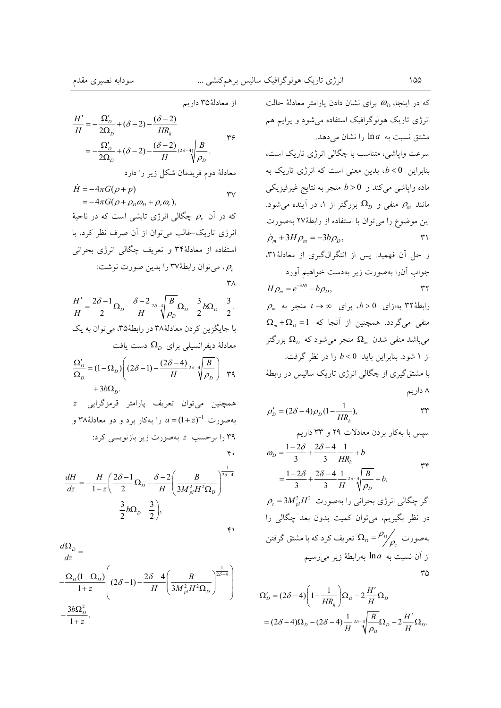از معادلهٔ۳۵ داریم

$$
\frac{H'}{H} = -\frac{\Omega_D'}{2\Omega_D} + (\delta - 2) - \frac{(\delta - 2)}{HR_h}
$$
\n
$$
= -\frac{\Omega_D'}{2\Omega_D} + (\delta - 2) - \frac{(\delta - 2)}{H} \frac{(\delta - 4)}{(\delta - 2)} = -\frac{\Omega_D'}{2\Omega_D} + (\delta - 2) - \frac{(\delta - 2)}{H} \frac{(\delta - 4)}{(\delta - 2)} = -\frac{\Omega_D'}{2\Omega_D} + \frac{\Omega_D'}{2\Omega_D} = -\frac{\Omega_D'}{2\Omega_D} = -\frac{\Omega_D'}{2\Omega_D} = -\frac{\Omega_D'}{2\Omega_D} = -\frac{\Omega_D'}{2\Omega_D} = -\frac{\Omega_D'}{2\Omega_D} = -\frac{\Omega_D'}{2\Omega_D} = -\frac{\Omega_D'}{2\Omega_D} = -\frac{\Omega_D'}{2\Omega_D} = -\frac{\Omega_D'}{2\Omega_D} = -\frac{\Omega_D'}{2\Omega_D} = -\frac{\Omega_D'}{2\Omega_D} = -\frac{\Omega_D'}{2\Omega_D} = -\frac{\Omega_D'}{2\Omega_D} = -\frac{\Omega_D'}{2\Omega_D} = -\frac{\Omega_D'}{2\Omega_D} = -\frac{\Omega_D'}{2\Omega_D} = -\frac{\Omega_D'}{2\Omega_D} = -\frac{\Omega_D'}{2\Omega_D} = -\frac{\Omega_D'}{2\Omega_D} = -\frac{\Omega_D'}{2\Omega_D} = -\frac{\Omega_D'}{2\Omega_D} = -\frac{\Omega_D'}{2\Omega_D} = -\frac{\Omega_D'}{2\Omega_D} = -\frac{\Omega_D'}{2\Omega_D} = -\frac{\Omega_D'}{2\Omega_D} = -\frac{\Omega_D'}{2\Omega_D} = -\frac{\Omega_D'}{2\Omega_D} = -\frac{\Omega_D'}{2\Omega_D} = -\frac{\Omega_D'}{2\Omega_D} = -\frac{\Omega_D'}{2\Omega_D} = -\frac{\Omega_D'}{2\Omega_D} = -\frac{\Omega_D'}{2\Omega_D} = -\frac{\Omega_D'}{2\Omega_D} = -\frac{\Omega_D'}{2\Omega_D} = -\frac{\Omega_D'}{2\Omega_D} = -\frac{\Omega_D'}{2\Omega_D} = -\frac{\Omega_D'}{2\Omega_D} = -\frac{\Omega_D'}{2\Omega_D} = -\frac{\Omega_D'}{2\Omega_D} = -\frac{\Omega_D'}{2\Omega_D} = -\frac{\Omega_D'}{2\Omega_D} = -\frac{\Omega_D
$$

 $\dot{H} = -4\pi G(\rho + p)$  $\mathsf{r}\mathsf{v}$  $=-4\pi G(\rho+\rho_n\omega_n+\rho_r\omega_r),$ 

که در آن  $\rho_r$  چگالی انرژی تابشی است که در ناحیهٔ انرژی تاریک-غالب میتوان از آن صرف نظر کرد، با استفاده از معادلهٔ۳۴ و تعریف چگالی انرژی بحرانی ، می توان رابطهٔ۳۷ را بدین صورت نوشت:  $\rho_c$  $\mathsf{r}_\Lambda$ 

$$
\frac{H'}{H} = \frac{2\delta - 1}{2}\Omega_D - \frac{\delta - 2}{H}{}^{2\delta - 4}\left(\frac{B}{\rho_D}\Omega_D - \frac{3}{2}b\Omega_D - \frac{3}{2}\right).
$$
  
با جايگزين کردن معادله٨٨ در رابطهٔ١٧٠ مىتون بە يك  
معادلهٔ ديفرانسيلى براى  $\Omega_D$ 

$$
\frac{\Omega_D'}{\Omega_D} = (1 - \Omega_D) \left( (2\delta - 1) - \frac{(2\delta - 4)}{H} 2\delta - 4 \frac{B}{\rho_D} \right) \quad \text{and} \quad + 3b\Omega_D.
$$

همچنین میتوان تعریف پارامتر قرمزگرایی z بهصورت  $a = (1+z)^{-1}$  را بهکار برد و دو معادلهٔ۳۸ و ۳۹ را برحسب z بهصورت زیر بازنویسی کرد:  $\mathbf{r}$ .

$$
\frac{dH}{dz} = -\frac{H}{1+z} \left( \frac{2\delta - 1}{2} \Omega_D - \frac{\delta - 2}{H} \left( \frac{B}{3M_{pl}^2 H^2 \Omega_D} \right)^{\frac{1}{2\delta - 4}} - \frac{3}{2} b \Omega_D - \frac{3}{2} \right),
$$

 $\mathbf{y}$ 

$$
\frac{d\Omega_D}{dz} =
$$
\n
$$
-\frac{\Omega_D (1 - \Omega_D)}{1 + z} \left( (2\delta - 1) - \frac{2\delta - 4}{H} \left( \frac{B}{3M_{pl}^2 H^2 \Omega_D} \right)^{\frac{1}{2\delta - 4}}
$$
\n
$$
-\frac{3b\Omega_D^2}{1 + z}.
$$

که در اینجاه 
$$
ω_D
$$
 برای نشان دادن پارامتر معادلهٔ حالت اترژی تاریک مولو گرافیک استهه ده. سرعت واپاشی، متناسب با چگالی انرژی تاریک است، سرعت واپاشی، متناسب با چگالی انرژی تاریک به سرعت واپاشی، متناسب با چگالی انرژی تاریک به ماند میرفیزیکی مانند میشود.  
مانند مم منفی و 20 منجر به نتایح غیرفیزیکی  
این موفعع را میتوان با استفاده از رابطهٰ۲۲ بهصورت  
مانند ممصورت زیر بهدست خواهیم آورد  
میالهٔ۲۳ به مورت  
حول آنرا بهصورت زیر بهدست خواهیم آورد  
میالهٔ۲۳ بهارای ملا-  
49 مناجلا یه یراد  
۲۸ه اوره  
۲۸ه 40 میکراد. همچنین از آنجا که 1 = 40<sub>۷</sub>ه  
میباشلا منغی شلان بهمورت زیر بهدست خواهیم آورد  
۱۸ه همچنین از آنجا که 1 = 40<sub>۷</sub> هی<sub>م</sub>۱  
۲می باشلا منجر به میکراد.  
میشاند منفی مندان بهمیان ده یه 40  
۱۱هه 40 منجر میشی مندن میمیاد  
امشتود. بنابراین بایلی منچری دی دیه میگرده دی دیه  
میباشد میگردی د ممچنین از آنجا که 1- 40 بزرگتر  
امشیتیگیری از جنکالی انرژی تاریک سالیس در رابطهٔ  
ا شمنتیگیری از چگالی ابید 0 د میش دی دیه  
می باشد دینیه 40 میری دیه

$$
\rho'_D = (2\delta - 4)\rho_D(1 - \frac{1}{HR_h}),
$$

$$
\mathsf{r} \mathsf{r} \quad \mathsf{r} \quad \mathsf{r} \quad \mathsf{r} \quad \mathsf{r} \quad \mathsf{r} \quad \mathsf{r} \quad \mathsf{r} \quad \mathsf{r} \quad \mathsf{r} \quad \mathsf{r} \quad \mathsf{r} \quad \mathsf{r} \quad \mathsf{r} \quad \mathsf{r} \quad \mathsf{r} \quad \mathsf{r} \quad \mathsf{r} \quad \mathsf{r} \quad \mathsf{r} \quad \mathsf{r} \quad \mathsf{r} \quad \mathsf{r} \quad \mathsf{r} \quad \mathsf{r} \quad \mathsf{r} \quad \mathsf{r} \quad \mathsf{r} \quad \mathsf{r} \quad \mathsf{r} \quad \mathsf{r} \quad \mathsf{r} \quad \mathsf{r} \quad \mathsf{r} \quad \mathsf{r} \quad \mathsf{r} \quad \mathsf{r} \quad \mathsf{r} \quad \mathsf{r} \quad \mathsf{r} \quad \mathsf{r} \quad \mathsf{r} \quad \mathsf{r} \quad \mathsf{r} \quad \mathsf{r} \quad \mathsf{r} \quad \mathsf{r} \quad \mathsf{r} \quad \mathsf{r} \quad \mathsf{r} \quad \mathsf{r} \quad \mathsf{r} \quad \mathsf{r} \quad \mathsf{r} \quad \mathsf{r} \quad \mathsf{r} \quad \mathsf{r} \quad \mathsf{r} \quad \mathsf{r} \quad \mathsf{r} \quad \mathsf{r} \quad \mathsf{r} \quad \mathsf{r} \quad \mathsf{r} \quad \mathsf{r} \quad \mathsf{r} \quad \mathsf{r} \quad \mathsf{r} \quad \mathsf{r} \quad \mathsf{r} \quad \mathsf{r} \quad \mathsf{r} \quad \mathsf{r} \quad \mathsf{r} \quad \mathsf{r} \quad \mathsf{r} \quad \mathsf{r} \quad \mathsf{r} \quad \mathsf{r} \quad \mathsf{r} \quad \mathsf{r} \quad \mathsf{r} \quad \mathsf{r} \quad \mathsf{r} \quad \mathsf{r} \quad \mathsf{r} \quad \mathsf{r} \quad \mathsf{r} \quad \mathsf{r} \quad \mathsf{r} \quad \mathsf{r} \quad \mathsf{r} \quad \mathsf{r} \quad \mathsf{r} \quad \
$$

$$
\omega_{D} = \frac{1 - 2\delta}{3} + \frac{2\delta - 4}{3} \frac{1}{HR_{h}} + b
$$
  
=  $\frac{1 - 2\delta}{3} + \frac{2\delta - 4}{3} \frac{1}{H} 2\delta - 4 \frac{B}{\sqrt{\rho_{D}}} + b.$ 

 $\rho_c = 3 M_{nl}^2 H^2$  اگر چگالی انرژی بحرانی را بهصورت در نظر بگیریم، میتوان کمیت بدون بعد چگالی را بهصورت  $\frac{\rho_{D}}{\rho_{c}}=\frac{\rho_{D}}{\rho_{c}}$  تعریف کرد که با مشتق گرفتن از آن نسبت به  $a$ ln بهرابطهٔ زیر میرسیم  $\mathsf{r}\mathsf{o}$ 

$$
\begin{split} \Omega_D' &= (2\delta - 4) \Bigg( 1 - \frac{1}{HR_h} \Bigg) \Omega_D - 2 \frac{H'}{H} \Omega_D \\ &= (2\delta - 4) \Omega_D - (2\delta - 4) \frac{1}{H} {}^{2\delta} \sqrt[4]{\frac{B}{\rho_D}} \Omega_D - 2 \frac{H'}{H} \Omega_D. \end{split}
$$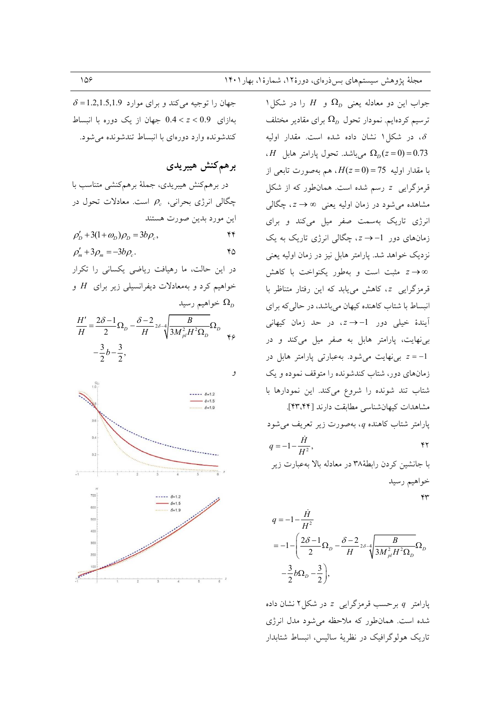$\delta$  =1.2,1.5,1.9 میکند و برای موارد 5.1.5,1.9 بهازای 0.9 > 2 > 0.4 جهان از یک دوره با انبساط کندشونده وارد دورهای با انبساط تندشونده می شود.

برهم كنش هيبريدي

در برهم کنش هیبریدی، جملهٔ برهمکنشی متناسب با چگالی انرژی بحرانی،  $\rho_c$  است. معادلات تحول در این مورد بدین صورت هستند  $\rho'_D + 3(1+\omega_D)\rho_D = 3b\rho_c,$  $\mathbf{r}$  $\rho'_{m}+3\rho_{m}=-3b\rho_{c}.$  $Y\Delta$ در این حالت، ما رهیافت ریاضی یکسانی را تکرار خواهیم کرد و بهمعادلات دیفرانسیلی زیر برای  $H$  و خواهیم رسید  $\Omega_{\scriptscriptstyle D}$  $\frac{H'}{H} = \frac{2\delta - 1}{2}\Omega_D - \frac{\delta - 2}{H}2\delta - 4\sqrt{\frac{B}{3M_{pl}^2H^2\Omega_D}}\Omega_D$  $-\frac{3}{2}b-\frac{3}{2},$ و  $- - \delta = 12$  $\delta = 1.5$ 

 $6-12$ 

جواب این دو معادله یعنی  $\Omega_{\scriptscriptstyle D}$  و  $H$  را در شکل ۱ ترسیم کردهایم. نمودار تحول  $\Omega_{\scriptscriptstyle D}$  برای مقادیر مختلف ، در شکل ۱ نشان داده شده است. مقدار اولیه ،  $H$  میباشد. تحول پارامتر هابل  $\Omega_D(z=0)=0.73$ با مقدار اوليه 75 = H(z = 0). هم بهصورت تابعي از قرمزگرایی z رسم شده است. همان طور که از شکل مشاهده میشود در زمان اولیه یعنی ∞ → c ، چگالی انرژی تاریک بهسمت صفر میل میکند و برای زمانهای دور 1- $\rightarrow$ ، چگالی انرژی تاریک به یک نزدیک خواهد شد. یارامتر هابل نیز در زمان اولیه یعنی مثبت است و بهطور یکنواخت با کاهش قرمزگرایی z، کاهش می یابد که این رفتار متناظر با انبساط با شتاب كاهنده كيهان مي باشد، در حالي كه براي آیندهٔ خیلی دور 1−→ z، در حد زمان کیهانی بی نهایت، پارامتر هابل به صفر میل میکند و در ی نهایت می شود. به عبارتی پارامتر هابل در  $z = -1$ زمانهای دور، شتاب کندشونده را متوقف نموده و یک شتاب تند شونده را شروع می کند. این نمودارها با مشاهدات كيهانشناسي مطابقت دارند [٢٣،٤٤]. پارامتر شتاب کاهنده q، بهصورت زیر تعریف می شود  $q = -1 - \frac{\dot{H}}{H^2},$  $\gamma$ با جانشین کردن رابطهٔ۳۸ در معادله بالا بهعبارت زیر خواهيم رسيد

 $\Upsilon$ 

$$
q = -1 - \frac{\dot{H}}{H^2}
$$
  
= -1 -  $\left(\frac{2\delta - 1}{2}\Omega_D - \frac{\delta - 2}{H}2\delta - 4\sqrt{\frac{B}{3M_{pl}^2H^2\Omega_D}}\Omega_D - \frac{3}{2}b\Omega_D - \frac{3}{2}\right)$ ,

 $q$ یارامتر  $q$  برحسب قرمزگرایی  $z$  در شکل ۲ نشان داده شده است. همان طور که ملاحظه می شود مدل انرژی تاریک هولوگرافیک در نظریهٔ سالیس، انبساط شتابدار



 $0.2$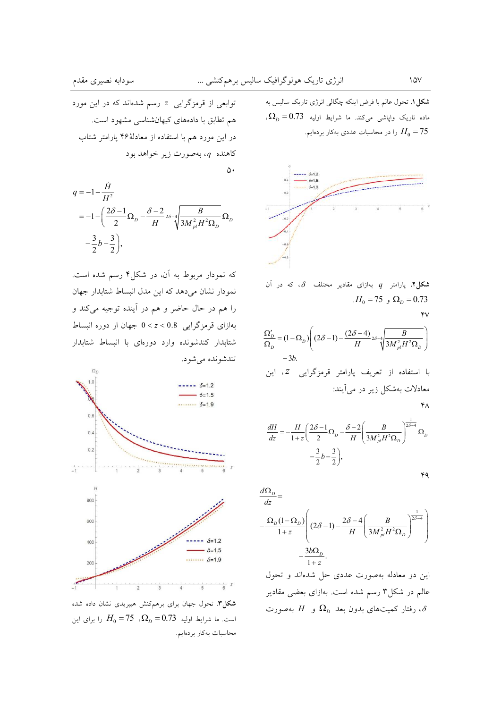$\overline{\Omega_{n}}$ 

توابعی از قرمزگرایی <sup>ب</sup> رسم شدهاند که در این مورد هم تطابق با دادههای کیهانشناسی مشهود است. در این مورد هم با استفاده از معادلهٔ۴۶ پارامتر شتاب کاهنده q، بهصورت زير خواهد بود

 $\Delta \cdot$ 

$$
q = -1 - \frac{H}{H^2}
$$
  
= -1 -  $\left(\frac{2\delta - 1}{2}\Omega_D - \frac{\delta - 2}{H} 2\delta - 4 \sqrt{\frac{B}{3M_{pl}^2 H^2 \Omega_D}} \Omega_D - \frac{3}{2} b - \frac{3}{2}\right)$ ,

که نمودار مربوط به آن، در شکل۴ رسم شده است. نمودار نشان میدهد که این مدل انبساط شتابدار جهان را هم در حال حاضر و هم در آینده توجیه میکند و بهازای قرمزگرایی 0.8 > z > 0 جهان از دوره انبساط شتابدار کندشونده وارد دورهای با انبساط شتابدار تندشونده مي شود.



شکل۳. تحول جهان برای برهمکنش هیبریدی نشان داده شده است. ما شرایط اولیه  $\Omega_D = 0.73$ ، 75 $H_0 = 75$  را برای این محاسبات بهكار بردهايم.

**شکل ۱.** تحول عالم با فرض اینکه چگالی انرژی تاریک سالیس به ، ماده تاریک واپاشی میکند. ما شرایط اولیه  $\Omega_D = 0.73$ را در محاسبات عددی بهکار بردهایم.  $H_0 = 75$ 



شکل۲. پارامتر  $q$  بهازای مقادیر مختلف  $\delta$ ، که در آن  $H_0 = 75$ ,  $\Omega_p = 0.73$ 

$$
\frac{\Omega_D'}{\Omega_D} = (1 - \Omega_D) \left( (2\delta - 1) - \frac{(2\delta - 4)}{H} \frac{B}{2\delta \sqrt{\frac{B}{3M_{pl}^2 H^2 \Omega_D}}} \right)
$$
  
+3b.

$$
\kappa_{\mathsf{V}}
$$

 $\mathbf{v}$ 

$$
\frac{dH}{dz} = -\frac{H}{1+z} \left( \frac{2\delta - 1}{2} \Omega_D - \frac{\delta - 2}{H} \left( \frac{B}{3M_{pl}^2 H^2 \Omega_D} \right)^{\frac{1}{2\delta - 4}} \Omega_D - \frac{3}{2} b - \frac{3}{2} \right),
$$

$$
\star\mathbf{q}
$$

$$
\frac{d\Omega_D}{dz} = \frac{Q_D(1-\Omega_D)}{1+z} \left( (2\delta - 1) - \frac{2\delta - 4}{H} \left( \frac{B}{3M_{pl}^2 H^2 \Omega_D} \right)^{\frac{1}{2\delta - 4}} \right) - \frac{3b\Omega_D}{1+z}.
$$

این دو معادله بهصورت عددی حل شدهاند و تحول عالم در شکل۳ رسم شده است. بهازای بعضی مقادیر ، رفتار کمیتهای بدون بعد  $\Omega_{\scriptscriptstyle D}$  و  $H$  بهصورت،  $\delta$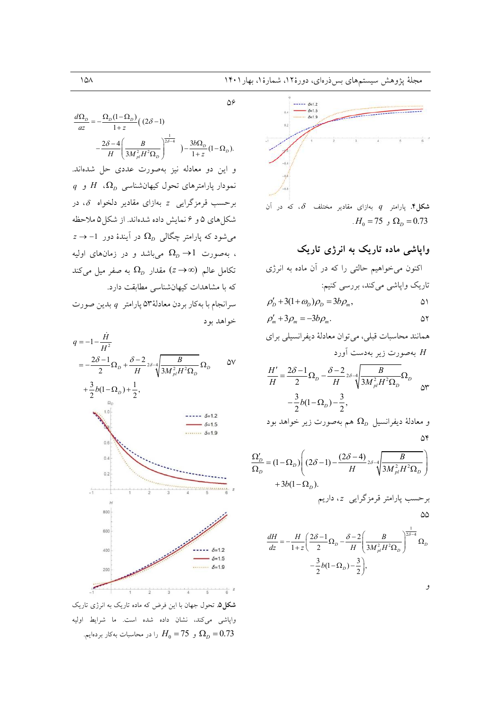$\Delta \mathcal{S}$ 

 $\overline{\mathbf{S}}$ 

7

$$
\frac{d\Omega_D}{dz} = -\frac{\Omega_D (1 - \Omega_D)}{1 + z} \left( (2\delta - 1) \right)
$$

$$
-\frac{2\delta - 4}{H} \left( \frac{B}{3M_{pl}^2 H^2 \Omega_D} \right)^{\frac{1}{2\delta - 4}} - \frac{3b\Omega_D}{1 + z} (1 - \Omega_D).
$$

و این دو معادله نیز بهصورت عددی حل شدهاند.  $q$  نمودار پارامترهای تحول کیهانشناسی  $\Omega_D$ ،  $H$  و برحسب قرمزگرایی  $z$  بهازای مقادیر دلخواه  $\delta$ ، در شکل های ۵ و ۶ نمایش داده شدهاند. از شکل ۵ ملاحظه  $z\rightarrow -1$  میشود که پارامتر چگالی  $\Omega_{D}$  در آیندهٔ دور ، بهصورت  $\Omega_{\scriptscriptstyle D} \to \Omega_{\scriptscriptstyle D}$  می باشد و در زمانهای اولیه تکامل عالم  $(\alpha \rightarrow \Omega_p)$  مقدار  $\Omega_p$  به صفر میل میکند که با مشاهدات کیهانشناسی مطابقت دارد. سرانجام با بهكار بردن معادلهٔ ۵۳ پارامتر  $q$  بدين صورت

خواهد بود  $q = -1 - \frac{\dot{H}}{H^2}$  $=-\frac{2\delta-1}{2}\Omega_D+\frac{\delta-2}{H} \nu^2 \sqrt{\frac{B}{3M_{pl}^2H^2\Omega_D}}\Omega_D$  $\Delta V$  $+\frac{3}{2}b(1-\Omega_D)+\frac{1}{2},$  $-6=12$  $-6=1.5$  $\cdots$   $\delta = 1.9$  $0.4$  $0.2$  $\frac{1}{-1}$ 



**شکل2**. تحول جهان با این فرض که ماده تاریک به انرژی تاریک واپاشی میکند، نشان داده شده است. ما شرایط اولیه را در محاسبات بهکار بردهایم.  $H_0 = 75$  و  $\Omega_D = 0.73$ 



شکل۴. پارامتر  $q$  بهازای مقادیر مختلف  $\delta$ ، که در آن  $H_0 = 75$ ,  $\Omega_p = 0.73$ 

واپاشی ماده تاریک به انرژی تاریک

$$
\rho'_D + 3(1 + \omega_D)\rho_D = 3b\rho_m, \qquad \qquad \omega_1
$$

$$
\rho'_m + 3\rho_m = -3b\rho_m.
$$

همانند محاسبات قبلي، مي توان معادلهٔ ديفرانسيلي براي بهصورت زیر بهدست آورد  $H$ 

$$
\frac{H'}{H} = \frac{2\delta - 1}{2}\Omega_D - \frac{\delta - 2}{H}2\delta - 4\sqrt{\frac{B}{3M_{pl}^2H^2\Omega_D}}\Omega_D
$$

$$
-\frac{3}{2}b(1-\Omega_D) - \frac{3}{2},
$$

و معادلهٔ دیفرانسیل 
$$
\Omega_D
$$
هم بهصورت زیر خواهد بود  
۱۵

$$
\frac{\Omega_D'}{\Omega_D} = (1 - \Omega_D) \left( (2\delta - 1) - \frac{(2\delta - 4)}{H} {}_{2\delta - 4} \sqrt{\frac{B}{3M_{pl}^2 H^2 \Omega_D}} \right)
$$
  
+  $3b(1 - \Omega_D)$ .  
  

$$
\frac{dH}{dz} = -\frac{H}{1 + z} \left( \frac{2\delta - 1}{2} \Omega_D - \frac{\delta - 2}{H} \left( \frac{B}{3M_{pl}^2 H^2 \Omega_D} \right)^{\frac{1}{2\delta - 4}} \Omega_D
$$
  

$$
-\frac{3}{2}b(1 - \Omega_D) - \frac{3}{2} \right),
$$

و

 $\lambda$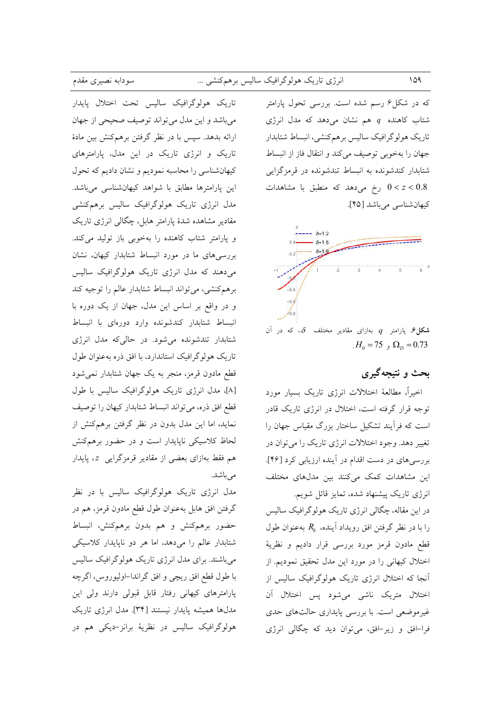که در شکل۶ رسم شده است. بررسی تحول پارامتر شتاب کاهنده  $q$  هم نشان میدهد که مدل انرژی تاریک هولوگرافیک سالیس برهمکنشی، انبساط شتابدار جهان را بهخوبی توصیف میکند و انتقال فاز از انبساط شتابدار کندشونده به انبساط تندشونده در قرمزگزایی رخ میدهد که منطبق با مشاهدات  $0 < z < 0.8$ كيهان شناسي مي باشد [۴۵].



شکل $\mathcal{A}$ . پارامتر  $q$  بهازای مقادیر مختلف  $\delta$ ، که در آن  $H_0 = 75$ ,  $\Omega_p = 0.73$ 

## بحث و نتيجهگيري

اخیراً، مطالعهٔ اختلالات انرژی تاریک بسیار مورد توجه قرار گرفته است، اختلال در انرژی تاریک قادر است که فرآیند تشکیل ساختار بزرگ مقیاس جهان را تغییر دهد. وجود اختلالات انرژی تاریک را می توان در بررسیهای در دست اقدام در آینده ارزیابی کرد [۴۶]. این مشاهدات کمک میکنند بین مدلهای مختلف انرژی تاریک پیشنهاد شده، تمایز قائل شویم.

در این مقاله، چگالی انرژی تاریک هولوگرافیک سالیس را با در نظر گرفتن افق رویداد آینده،  $R_h$  بهعنوان طول قطع مادون قرمز مورد بررسی قرار دادیم و نظریهٔ اختلال کیهانی را در مورد این مدل تحقیق نمودیم. از آنجا که اختلال انرژی تاریک هولوگرافیک سالیس از اختلال متريك ناشي مي شود پس اختلال آن غیرموضعی است. با بررسی پایداری حالتهای حدی فرا-افق و زیر-افق، میتوان دید که چگالی انرژی

تاریک هولوگرافیک سالیس تحت اختلال پایدار میباشد و این مدل میتواند توصیف صحیحی از جهان ارائه بدهد. سیس با در نظر گرفتن برهمکنش بین مادهٔ تاریک و انرژی تاریک در این مدل، پارامترهای کیهانشناسی را محاسبه نمودیم و نشان دادیم که تحول این پارامترها مطابق با شواهد کیهانشناسی میباشد. مدل انرژی تاریک هولوگرافیک سالیس برهمکنشی مقادیر مشاهده شدهٔ پارامتر هابل، چگالی انرژی تاریک و پارامتر شتاب کاهنده را بهخوبی باز تولید میکند. بررسی های ما در مورد انبساط شتابدار کیهان، نشان می دهند که مدل انرژی تاریک هولوگرافیک سالیس برهم كنشي، مي تواند انبساط شتابدار عالم را توجيه كند و در واقع بر اساس این مدل، جهان از یک دوره با انبساط شتابدار كندشونده وارد دورهاى با انبساط شتابدار تندشونده می شود. در حالی که مدل انرژی تاریک هولوگرافیک استاندارد، با افق ذره بهعنوان طول قطع مادون قرمز، منجر به یک جهان شتابدار نمی شود [٨]، مدل انرژی تاریک هولوگرافیک سالیس با طول قطع افق ذره، میتواند انبساط شتابدار کیهان را توصیف نماید، اما این مدل بدون در نظر گرفتن برهمکنش از لحاظ کلاسیکی ناپایدار است و در حضور برهمکنش هم فقط بهازای بعضی از مقادیر قرمزگرایی z، پایدار می باشد.

مدل انرژی تاریک هولوگرافیک سالیس با در نظر گرفتن افق هابل بهعنوان طول قطع مادون قرمز، هم در حضور برهمكنش و هم بدون برهمكنش، انبساط شتابدار عالم را میدهد، اما هر دو ناپایدار کلاسیکی میباشند. برای مدل انرژی تاریک هولوگرافیک سالیس با طول قطع افق ریچی و افق گراندا–اولیوروس، اگرچه پارامترهای کیهانی رفتار قابل قبولی دارند ولی این مدلها همیشه پایدار نیستند [۳۴]. مدل انرژی تاریک هولوگرافیک سالیس در نظریهٔ برانز-دیکی هم در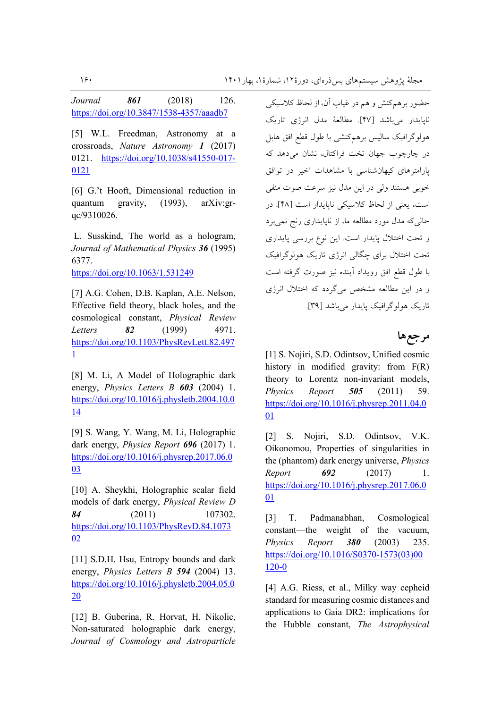*Journal 861* (2018) 126. https://doi.org/10.3847/1538-4357/aaadb7

[5] W.L. Freedman, Astronomy at a crossroads, *Nature Astronomy 1* (2017) 0121. https://doi.org/10.1038/s41550-017- 0121

[6] G.'t Hooft, Dimensional reduction in quantum gravity, (1993), arXiv:grqc/9310026.

 L. Susskind, The world as a hologram, *Journal of Mathematical Physics 36* (1995) 6377.

https://doi.org/10.1063/1.531249

[7] A.G. Cohen, D.B. Kaplan, A.E. Nelson, Effective field theory, black holes, and the cosmological constant, *Physical Review Letters 82* (1999) 4971. https://doi.org/10.1103/PhysRevLett.82.497 1

[8] M. Li, A Model of Holographic dark energy, *Physics Letters B 603* (2004) 1. https://doi.org/10.1016/j.physletb.2004.10.0 14

[9] S. Wang, Y. Wang, M. Li, Holographic dark energy, *Physics Report 696* (2017) 1. https://doi.org/10.1016/j.physrep.2017.06.0 <u>03</u>

[10] A. Sheykhi, Holographic scalar field models of dark energy, *Physical Review D 84* (2011) 107302. https://doi.org/10.1103/PhysRevD.84.1073 02

[11] S.D.H. Hsu, Entropy bounds and dark energy, *Physics Letters B 594* (2004) 13. https://doi.org/10.1016/j.physletb.2004.05.0 20

[12] B. Guberina, R. Horvat, H. Nikolic, Non-saturated holographic dark energy, *Journal of Cosmology and Astroparticle*  حضور برهمكنش و هم در غياب آن، از لحاظ كلاسيكي نايايدار مي باشد [۴۷]. مطالعهٔ مدل انرژي تاريک ہولوگرافیک سالیس برہمکنشی با طول قطع افق ہابل در چارچوب جهان تخت فراكتال، نشان مى دهد كه یارامترهای کیهانشناسی با مشاهدات اخیر در توافق خوبي هستند ولي در اين مدل نيز سرعت صوت منفي است، يعني از لحاظ كلاسيكي ناپايدار است [۴۸]. در حالی که مدل مورد مطالعه ما، از ناپایداری رنج نمیبرد و تحت اختلال پایدار است. این نوع بررسی پایداری تحت اختلال برای چگالی انرژی تاریک هولوگرافیک با طول قطع افق دويداد أينده نيز صورت گرفته است و در این مطالعه مشخص میگردد که اختلال انرژی تاریک هولو گرافیک پایدار می باشد [۳۹].

## مرجع ها

[1] S. Nojiri, S.D. Odintsov, Unified cosmic history in modified gravity: from  $F(R)$ theory to Lorentz non-invariant models, *Physics Report 505* (2011) 59. https://doi.org/10.1016/j.physrep.2011.04.0 01

[2] S. Nojiri, S.D. Odintsov, V.K. Oikonomou, Properties of singularities in the (phantom) dark energy universe, *Physics Report 692* (2017) 1. https://doi.org/10.1016/j.physrep.2017.06.0 01

[3] T. Padmanabhan, Cosmological constant—the weight of the vacuum, *Physics Report 380* (2003) 235. https://doi.org/10.1016/S0370-1573(03)00 120-0

[4] A.G. Riess, et al., Milky way cepheid standard for measuring cosmic distances and applications to Gaia DR2: implications for the Hubble constant, *The Astrophysical*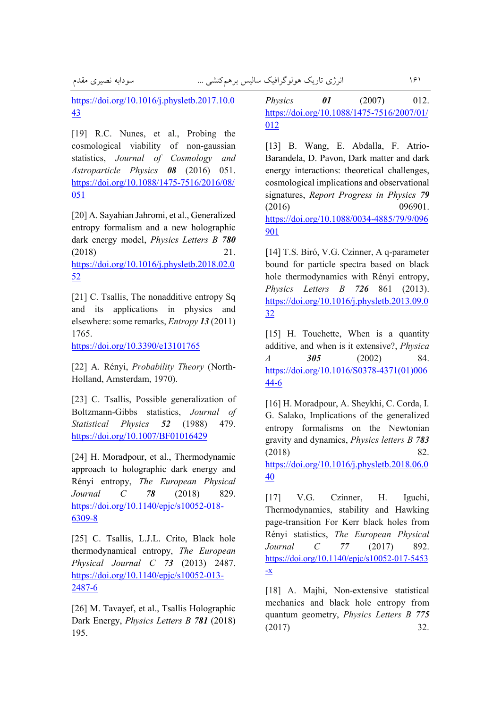سودابه نصيرى مقدم

\* > - ?\*=9-9 40> M\*2 161

https://doi.org/10.1016/j.physletb.2017.10.0 43

[19] R.C. Nunes, et al., Probing the cosmological viability of non-gaussian statistics, *Journal of Cosmology and Astroparticle Physics 08* (2016) 051. https://doi.org/10.1088/1475-7516/2016/08/ 051

[20] A. Sayahian Jahromi, et al., Generalized entropy formalism and a new holographic dark energy model, *Physics Letters B 780* (2018) 21. https://doi.org/10.1016/j.physletb.2018.02.0 52

[21] C. Tsallis, The nonadditive entropy Sq and its applications in physics and elsewhere: some remarks, *Entropy 13* (2011) 1765.

https://doi.org/10.3390/e13101765

[22] A. Rényi, *Probability Theory* (North-Holland, Amsterdam, 1970).

[23] C. Tsallis, Possible generalization of Boltzmann-Gibbs statistics, *Journal of Statistical Physics 52* (1988) 479. https://doi.org/10.1007/BF01016429

[24] H. Moradpour, et al., Thermodynamic approach to holographic dark energy and Rényi entropy, *The European Physical Journal C 78* (2018) 829. https://doi.org/10.1140/epjc/s10052-018- 6309-8

[25] C. Tsallis, L.J.L. Crito, Black hole thermodynamical entropy, *The European Physical Journal C 73* (2013) 2487. https://doi.org/10.1140/epjc/s10052-013- 2487-6

[26] M. Tavayef, et al., Tsallis Holographic Dark Energy, *Physics Letters B 781* (2018) 195.

*Physics 01* (2007) 012. https://doi.org/10.1088/1475-7516/2007/01/ 012

[13] B. Wang, E. Abdalla, F. Atrio-Barandela, D. Pavon, Dark matter and dark energy interactions: theoretical challenges, cosmological implications and observational signatures, *Report Progress in Physics 79* (2016) 096901. https://doi.org/10.1088/0034-4885/79/9/096 901

[14] T.S. Biró, V.G. Czinner, A q-parameter bound for particle spectra based on black hole thermodynamics with Rényi entropy, *Physics Letters B 726* 861 (2013). https://doi.org/10.1016/j.physletb.2013.09.0 32

[15] H. Touchette, When is a quantity additive, and when is it extensive?, *Physica A 305* (2002) 84. https://doi.org/10.1016/S0378-4371(01)006 44-6

[16] H. Moradpour, A. Sheykhi, C. Corda, I. G. Salako, Implications of the generalized entropy formalisms on the Newtonian gravity and dynamics, *Physics letters B 783* (2018) 82. https://doi.org/10.1016/j.physletb.2018.06.0 40

[17] V.G. Czinner, H. Iguchi, Thermodynamics, stability and Hawking page-transition For Kerr black holes from Rényi statistics, *The European Physical Journal C 77* (2017) 892. https://doi.org/10.1140/epjc/s10052-017-5453 -x

[18] A. Majhi, Non-extensive statistical mechanics and black hole entropy from quantum geometry, *Physics Letters B 775* (2017) 32.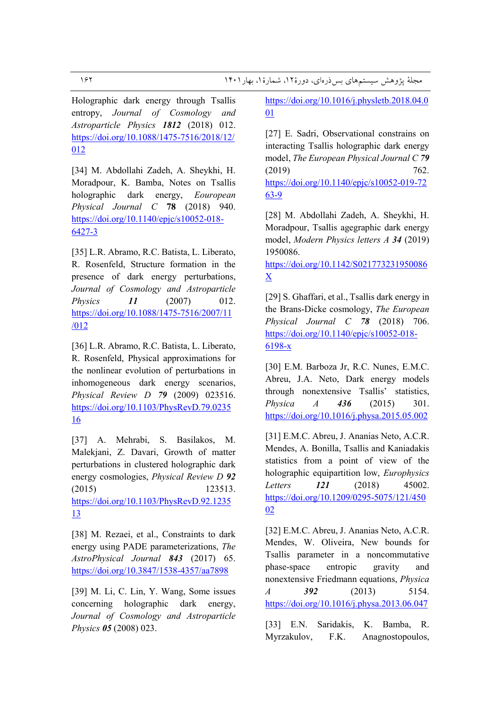Holographic dark energy through Tsallis entropy, *Journal of Cosmology and Astroparticle Physics 1812* (2018) 012. https://doi.org/10.1088/1475-7516/2018/12/ 012

[34] M. Abdollahi Zadeh, A. Sheykhi, H. Moradpour, K. Bamba, Notes on Tsallis holographic dark energy, *Eouropean Physical Journal C* **78** (2018) 940. https://doi.org/10.1140/epjc/s10052-018- 6427-3

[35] L.R. Abramo, R.C. Batista, L. Liberato, R. Rosenfeld, Structure formation in the presence of dark energy perturbations, *Journal of Cosmology and Astroparticle Physics 11* (2007) 012. https://doi.org/10.1088/1475-7516/2007/11 /012

[36] L.R. Abramo, R.C. Batista, L. Liberato, R. Rosenfeld, Physical approximations for the nonlinear evolution of perturbations in inhomogeneous dark energy scenarios, *Physical Review D 79* (2009) 023516. https://doi.org/10.1103/PhysRevD.79.0235 16

[37] A. Mehrabi, S. Basilakos, M. Malekjani, Z. Davari, Growth of matter perturbations in clustered holographic dark energy cosmologies, *Physical Review D 92* (2015) 123513. https://doi.org/10.1103/PhysRevD.92.1235 13

[38] M. Rezaei, et al., Constraints to dark energy using PADE parameterizations, *The AstroPhysical Journal 843* (2017) 65. https://doi.org/10.3847/1538-4357/aa7898

[39] M. Li, C. Lin, Y. Wang, Some issues concerning holographic dark energy, *Journal of Cosmology and Astroparticle Physics 05* (2008) 023.

https://doi.org/10.1016/j.physletb.2018.04.0 01

[27] E. Sadri, Observational constrains on interacting Tsallis holographic dark energy model, *The European Physical Journal C 79* (2019) 762. https://doi.org/10.1140/epjc/s10052-019-72 63-9

[28] M. Abdollahi Zadeh, A. Sheykhi, H. Moradpour, Tsallis agegraphic dark energy model, *Modern Physics letters A 34* (2019) 1950086.

https://doi.org/10.1142/S021773231950086 X

[29] S. Ghaffari, et al., Tsallis dark energy in the Brans-Dicke cosmology, *The European Physical Journal C 78* (2018) 706. https://doi.org/10.1140/epjc/s10052-018- 6198-x

[30] E.M. Barboza Jr, R.C. Nunes, E.M.C. Abreu, J.A. Neto, Dark energy models through nonextensive Tsallis' statistics, *Physica A 436* (2015) 301. https://doi.org/10.1016/j.physa.2015.05.002

[31] E.M.C. Abreu, J. Ananias Neto, A.C.R. Mendes, A. Bonilla, Tsallis and Kaniadakis statistics from a point of view of the holographic equipartition low, *Europhysics Letters 121* (2018) 45002. https://doi.org/10.1209/0295-5075/121/450 02

[32] E.M.C. Abreu, J. Ananias Neto, A.C.R. Mendes, W. Oliveira, New bounds for Tsallis parameter in a noncommutative phase-space entropic gravity and nonextensive Friedmann equations, *Physica A 392* (2013) 5154. https://doi.org/10.1016/j.physa.2013.06.047

[33] E.N. Saridakis, K. Bamba, R. Myrzakulov, F.K. Anagnostopoulos,